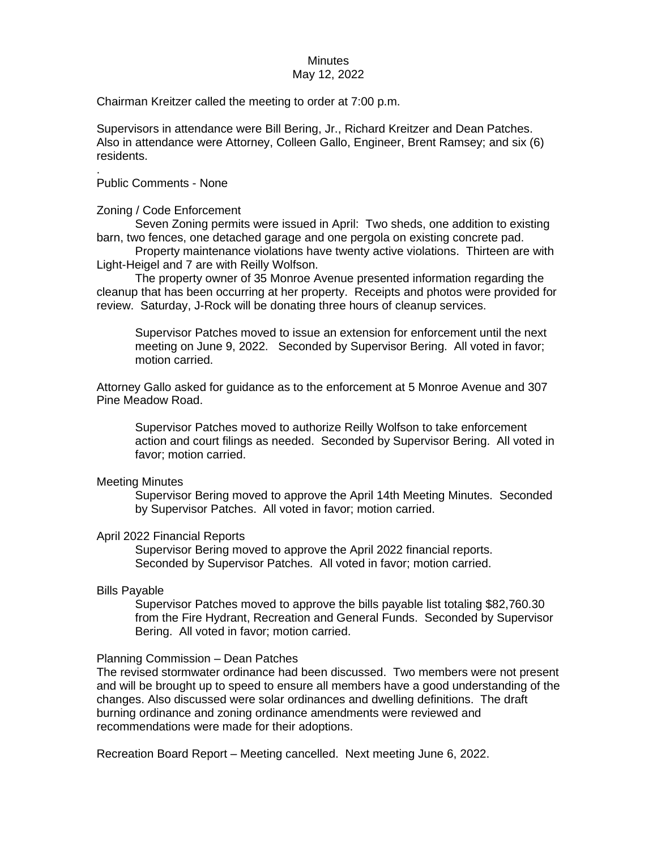# **Minutes**

# May 12, 2022

Chairman Kreitzer called the meeting to order at 7:00 p.m.

Supervisors in attendance were Bill Bering, Jr., Richard Kreitzer and Dean Patches. Also in attendance were Attorney, Colleen Gallo, Engineer, Brent Ramsey; and six (6) residents.

. Public Comments - None

Zoning / Code Enforcement

Seven Zoning permits were issued in April: Two sheds, one addition to existing barn, two fences, one detached garage and one pergola on existing concrete pad.

Property maintenance violations have twenty active violations. Thirteen are with Light-Heigel and 7 are with Reilly Wolfson.

The property owner of 35 Monroe Avenue presented information regarding the cleanup that has been occurring at her property. Receipts and photos were provided for review. Saturday, J-Rock will be donating three hours of cleanup services.

Supervisor Patches moved to issue an extension for enforcement until the next meeting on June 9, 2022. Seconded by Supervisor Bering. All voted in favor; motion carried.

Attorney Gallo asked for guidance as to the enforcement at 5 Monroe Avenue and 307 Pine Meadow Road.

Supervisor Patches moved to authorize Reilly Wolfson to take enforcement action and court filings as needed. Seconded by Supervisor Bering. All voted in favor; motion carried.

# Meeting Minutes

Supervisor Bering moved to approve the April 14th Meeting Minutes. Seconded by Supervisor Patches. All voted in favor; motion carried.

# April 2022 Financial Reports

Supervisor Bering moved to approve the April 2022 financial reports. Seconded by Supervisor Patches. All voted in favor; motion carried.

# Bills Payable

Supervisor Patches moved to approve the bills payable list totaling \$82,760.30 from the Fire Hydrant, Recreation and General Funds. Seconded by Supervisor Bering. All voted in favor; motion carried.

# Planning Commission – Dean Patches

The revised stormwater ordinance had been discussed. Two members were not present and will be brought up to speed to ensure all members have a good understanding of the changes. Also discussed were solar ordinances and dwelling definitions. The draft burning ordinance and zoning ordinance amendments were reviewed and recommendations were made for their adoptions.

Recreation Board Report – Meeting cancelled. Next meeting June 6, 2022.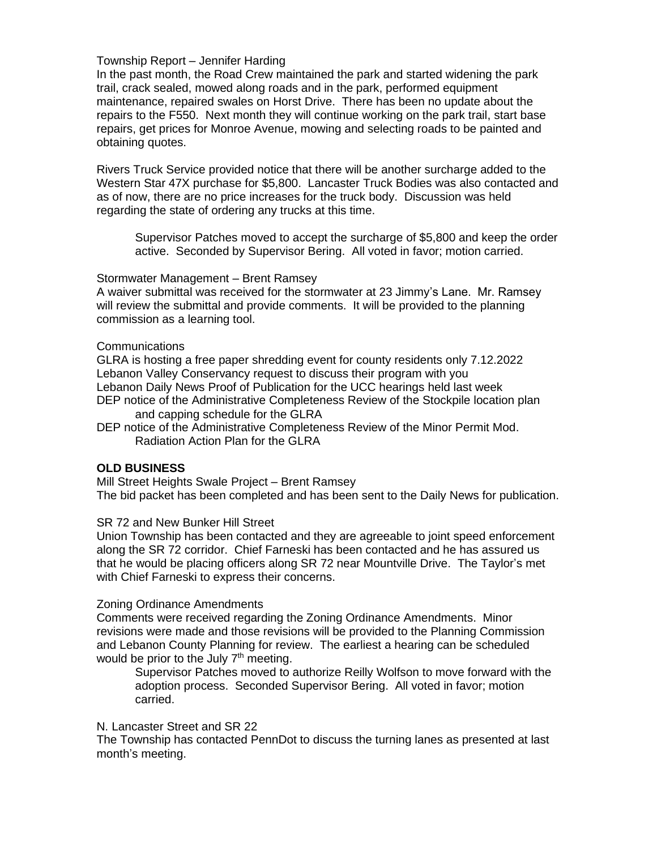# Township Report – Jennifer Harding

In the past month, the Road Crew maintained the park and started widening the park trail, crack sealed, mowed along roads and in the park, performed equipment maintenance, repaired swales on Horst Drive. There has been no update about the repairs to the F550. Next month they will continue working on the park trail, start base repairs, get prices for Monroe Avenue, mowing and selecting roads to be painted and obtaining quotes.

Rivers Truck Service provided notice that there will be another surcharge added to the Western Star 47X purchase for \$5,800. Lancaster Truck Bodies was also contacted and as of now, there are no price increases for the truck body. Discussion was held regarding the state of ordering any trucks at this time.

Supervisor Patches moved to accept the surcharge of \$5,800 and keep the order active. Seconded by Supervisor Bering. All voted in favor; motion carried.

#### Stormwater Management – Brent Ramsey

A waiver submittal was received for the stormwater at 23 Jimmy's Lane. Mr. Ramsey will review the submittal and provide comments. It will be provided to the planning commission as a learning tool.

#### Communications

GLRA is hosting a free paper shredding event for county residents only 7.12.2022 Lebanon Valley Conservancy request to discuss their program with you Lebanon Daily News Proof of Publication for the UCC hearings held last week DEP notice of the Administrative Completeness Review of the Stockpile location plan and capping schedule for the GLRA

DEP notice of the Administrative Completeness Review of the Minor Permit Mod. Radiation Action Plan for the GLRA

# **OLD BUSINESS**

Mill Street Heights Swale Project – Brent Ramsey The bid packet has been completed and has been sent to the Daily News for publication.

# SR 72 and New Bunker Hill Street

Union Township has been contacted and they are agreeable to joint speed enforcement along the SR 72 corridor. Chief Farneski has been contacted and he has assured us that he would be placing officers along SR 72 near Mountville Drive. The Taylor's met with Chief Farneski to express their concerns.

#### Zoning Ordinance Amendments

Comments were received regarding the Zoning Ordinance Amendments. Minor revisions were made and those revisions will be provided to the Planning Commission and Lebanon County Planning for review. The earliest a hearing can be scheduled would be prior to the July 7<sup>th</sup> meeting.

Supervisor Patches moved to authorize Reilly Wolfson to move forward with the adoption process. Seconded Supervisor Bering. All voted in favor; motion carried.

# N. Lancaster Street and SR 22

The Township has contacted PennDot to discuss the turning lanes as presented at last month's meeting.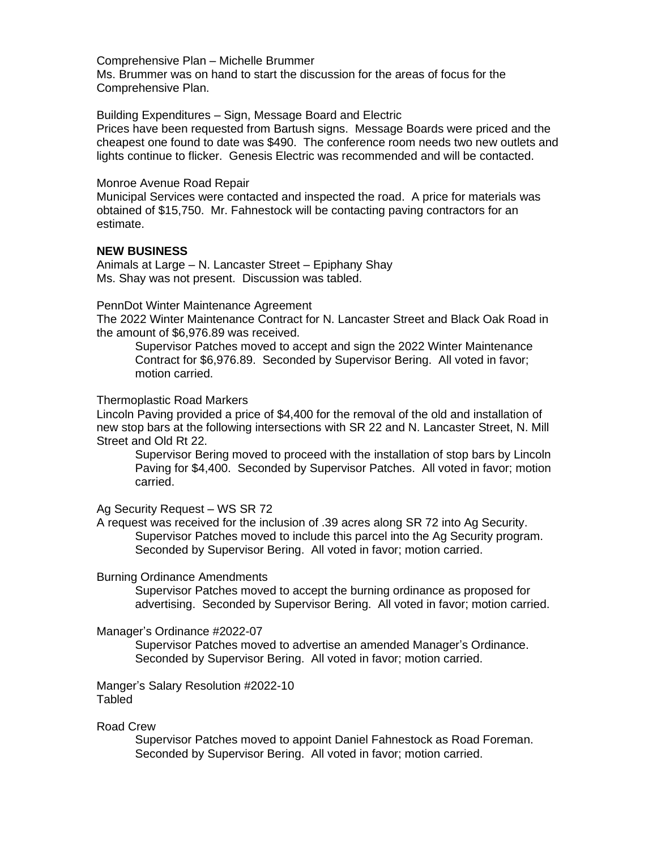#### Comprehensive Plan – Michelle Brummer

Ms. Brummer was on hand to start the discussion for the areas of focus for the Comprehensive Plan.

#### Building Expenditures – Sign, Message Board and Electric

Prices have been requested from Bartush signs. Message Boards were priced and the cheapest one found to date was \$490. The conference room needs two new outlets and lights continue to flicker. Genesis Electric was recommended and will be contacted.

#### Monroe Avenue Road Repair

Municipal Services were contacted and inspected the road. A price for materials was obtained of \$15,750. Mr. Fahnestock will be contacting paving contractors for an estimate.

# **NEW BUSINESS**

Animals at Large – N. Lancaster Street – Epiphany Shay Ms. Shay was not present. Discussion was tabled.

#### PennDot Winter Maintenance Agreement

The 2022 Winter Maintenance Contract for N. Lancaster Street and Black Oak Road in the amount of \$6,976.89 was received.

Supervisor Patches moved to accept and sign the 2022 Winter Maintenance Contract for \$6,976.89. Seconded by Supervisor Bering. All voted in favor; motion carried.

# Thermoplastic Road Markers

Lincoln Paving provided a price of \$4,400 for the removal of the old and installation of new stop bars at the following intersections with SR 22 and N. Lancaster Street, N. Mill Street and Old Rt 22.

Supervisor Bering moved to proceed with the installation of stop bars by Lincoln Paving for \$4,400. Seconded by Supervisor Patches. All voted in favor; motion carried.

# Ag Security Request – WS SR 72

A request was received for the inclusion of .39 acres along SR 72 into Ag Security. Supervisor Patches moved to include this parcel into the Ag Security program. Seconded by Supervisor Bering. All voted in favor; motion carried.

#### Burning Ordinance Amendments

Supervisor Patches moved to accept the burning ordinance as proposed for advertising. Seconded by Supervisor Bering. All voted in favor; motion carried.

# Manager's Ordinance #2022-07

Supervisor Patches moved to advertise an amended Manager's Ordinance. Seconded by Supervisor Bering. All voted in favor; motion carried.

Manger's Salary Resolution #2022-10 Tabled

# Road Crew

Supervisor Patches moved to appoint Daniel Fahnestock as Road Foreman. Seconded by Supervisor Bering. All voted in favor; motion carried.